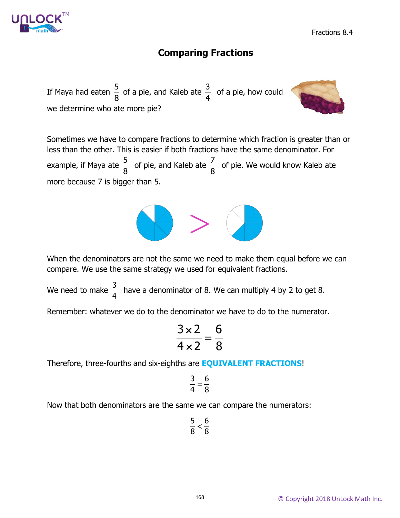

Fractions 8.4

# **Comparing Fractions**

If Maya had eaten  $\frac{5}{6}$ 8 of a pie, and Kaleb ate  $\frac{3}{4}$ 4 of a pie, how could we determine who ate more pie?



Sometimes we have to compare fractions to determine which fraction is greater than or less than the other. This is easier if both fractions have the same denominator. For example, if Maya ate  $\frac{5}{6}$ 8 of pie, and Kaleb ate  $\frac{7}{9}$ 8 of pie. We would know Kaleb ate more because 7 is bigger than 5.



When the denominators are not the same we need to make them equal before we can compare. We use the same strategy we used for equivalent fractions.

We need to make  $\frac{3}{4}$ 4 have a denominator of 8. We can multiply 4 by 2 to get 8.

Remember: whatever we do to the denominator we have to do to the numerator.

$$
\frac{3\times2}{4\times2}=\frac{6}{8}
$$

Therefore, three-fourths and six-eighths are **EQUIVALENT FRACTIONS**!

$$
\frac{3}{4}=\frac{6}{8}
$$

Now that both denominators are the same we can compare the numerators:

$$
\frac{5}{8} < \frac{6}{8}
$$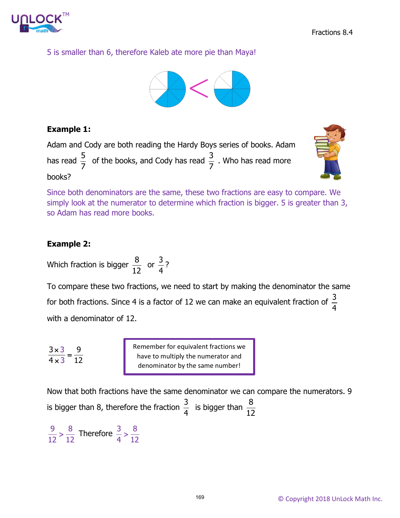

5 is smaller than 6, therefore Kaleb ate more pie than Maya!



## **Example 1:**

Adam and Cody are both reading the Hardy Boys series of books. Adam has read  $\frac{5}{7}$  of the books, and Cody has read  $\frac{3}{7}$ . Who has read more books?



Since both denominators are the same, these two fractions are easy to compare. We simply look at the numerator to determine which fraction is bigger. 5 is greater than 3, so Adam has read more books.

# **Example 2:**

Which fraction is bigger  $\frac{8}{15}$ 12 or  $\frac{3}{4}$ 4 ?

To compare these two fractions, we need to start by making the denominator the same for both fractions. Since 4 is a factor of 12 we can make an equivalent fraction of  $\frac{3}{4}$ 4 with a denominator of 12.

$$
\frac{3\times3}{4\times3}=\frac{9}{12}
$$

Remember for equivalent fractions we have to multiply the numerator and denominator by the same number!

Now that both fractions have the same denominator we can compare the numerators. 9 is bigger than 8, therefore the fraction  $\frac{3}{4}$  is bigger than  $\frac{8}{12}$ 

 $\frac{9}{2}$  >  $\frac{8}{12}$ 12 12 Therefore  $\frac{3}{4}$  >  $\frac{8}{15}$ 4 12